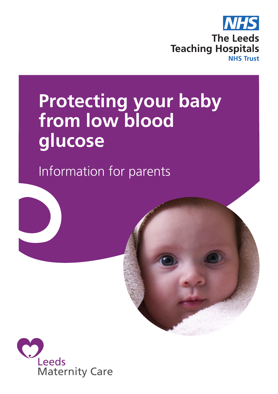

# **Protecting your baby from low blood glucose**

Information for parents



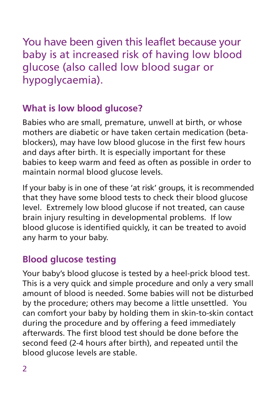You have been given this leaflet because your baby is at increased risk of having low blood glucose (also called low blood sugar or hypoglycaemia).

# **What is low blood glucose?**

Babies who are small, premature, unwell at birth, or whose mothers are diabetic or have taken certain medication (betablockers), may have low blood glucose in the first few hours and days after birth. It is especially important for these babies to keep warm and feed as often as possible in order to maintain normal blood glucose levels.

If your baby is in one of these 'at risk' groups, it is recommended that they have some blood tests to check their blood glucose level. Extremely low blood glucose if not treated, can cause brain injury resulting in developmental problems. If low blood glucose is identified quickly, it can be treated to avoid any harm to your baby.

# **Blood glucose testing**

Your baby's blood glucose is tested by a heel-prick blood test. This is a very quick and simple procedure and only a very small amount of blood is needed. Some babies will not be disturbed by the procedure; others may become a little unsettled. You can comfort your baby by holding them in skin-to-skin contact during the procedure and by offering a feed immediately afterwards. The first blood test should be done before the second feed (2-4 hours after birth), and repeated until the blood glucose levels are stable.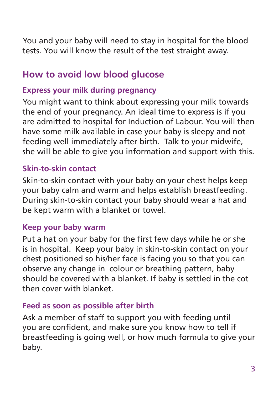You and your baby will need to stay in hospital for the blood tests. You will know the result of the test straight away.

# **How to avoid low blood glucose**

## **Express your milk during pregnancy**

You might want to think about expressing your milk towards the end of your pregnancy. An ideal time to express is if you are admitted to hospital for Induction of Labour. You will then have some milk available in case your baby is sleepy and not feeding well immediately after birth. Talk to your midwife, she will be able to give you information and support with this.

## **Skin-to-skin contact**

Skin-to-skin contact with your baby on your chest helps keep your baby calm and warm and helps establish breastfeeding. During skin-to-skin contact your baby should wear a hat and be kept warm with a blanket or towel.

## **Keep your baby warm**

Put a hat on your baby for the first few days while he or she is in hospital. Keep your baby in skin-to-skin contact on your chest positioned so his/her face is facing you so that you can observe any change in colour or breathing pattern, baby should be covered with a blanket. If baby is settled in the cot then cover with blanket.

# **Feed as soon as possible after birth**

Ask a member of staff to support you with feeding until you are confident, and make sure you know how to tell if breastfeeding is going well, or how much formula to give your baby.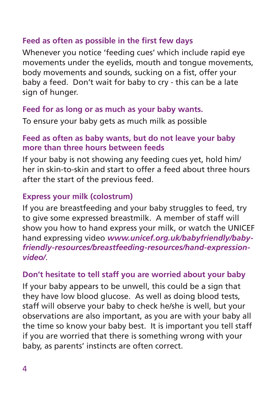## **Feed as often as possible in the first few days**

Whenever you notice 'feeding cues' which include rapid eye movements under the eyelids, mouth and tongue movements, body movements and sounds, sucking on a fist, offer your baby a feed. Don't wait for baby to cry - this can be a late sign of hunger.

#### **Feed for as long or as much as your baby wants.**

To ensure your baby gets as much milk as possible

#### **Feed as often as baby wants, but do not leave your baby more than three hours between feeds**

If your baby is not showing any feeding cues yet, hold him/ her in skin-to-skin and start to offer a feed about three hours after the start of the previous feed.

#### **Express your milk (colostrum)**

If you are breastfeeding and your baby struggles to feed, try to give some expressed breastmilk. A member of staff will show you how to hand express your milk, or watch the UNICEF hand expressing video *www.unicef.org.uk/babyfriendly/babyfriendly-resources/breastfeeding-resources/hand-expressionvideo/*.

#### **Don't hesitate to tell staff you are worried about your baby**

If your baby appears to be unwell, this could be a sign that they have low blood glucose. As well as doing blood tests, staff will observe your baby to check he/she is well, but your observations are also important, as you are with your baby all the time so know your baby best. It is important you tell staff if you are worried that there is something wrong with your baby, as parents' instincts are often correct.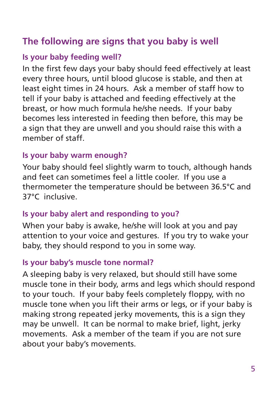# **The following are signs that you baby is well**

# **Is your baby feeding well?**

In the first few days your baby should feed effectively at least every three hours, until blood glucose is stable, and then at least eight times in 24 hours. Ask a member of staff how to tell if your baby is attached and feeding effectively at the breast, or how much formula he/she needs. If your baby becomes less interested in feeding then before, this may be a sign that they are unwell and you should raise this with a member of staff.

## **Is your baby warm enough?**

Your baby should feel slightly warm to touch, although hands and feet can sometimes feel a little cooler. If you use a thermometer the temperature should be between 36.5°C and 37°C inclusive.

## **Is your baby alert and responding to you?**

When your baby is awake, he/she will look at you and pay attention to your voice and gestures. If you try to wake your baby, they should respond to you in some way.

## **Is your baby's muscle tone normal?**

A sleeping baby is very relaxed, but should still have some muscle tone in their body, arms and legs which should respond to your touch. If your baby feels completely floppy, with no muscle tone when you lift their arms or legs, or if your baby is making strong repeated jerky movements, this is a sign they may be unwell. It can be normal to make brief, light, jerky movements. Ask a member of the team if you are not sure about your baby's movements.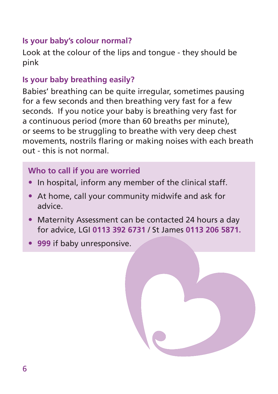### **Is your baby's colour normal?**

Look at the colour of the lips and tongue - they should be pink

# **Is your baby breathing easily?**

Babies' breathing can be quite irregular, sometimes pausing for a few seconds and then breathing very fast for a few seconds. If you notice your baby is breathing very fast for a continuous period (more than 60 breaths per minute), or seems to be struggling to breathe with very deep chest movements, nostrils flaring or making noises with each breath out - this is not normal.

#### **Who to call if you are worried**

- In hospital, inform any member of the clinical staff.
- At home, call your community midwife and ask for advice.
- Maternity Assessment can be contacted 24 hours a day for advice, LGI **0113 392 6731** / St James **0113 206 5871.**
- **999** if baby unresponsive.

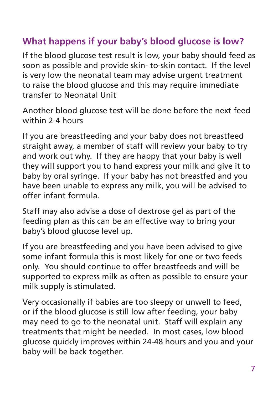# **What happens if your baby's blood glucose is low?**

If the blood glucose test result is low, your baby should feed as soon as possible and provide skin- to-skin contact. If the level is very low the neonatal team may advise urgent treatment to raise the blood glucose and this may require immediate transfer to Neonatal Unit

Another blood glucose test will be done before the next feed within 2-4 hours

If you are breastfeeding and your baby does not breastfeed straight away, a member of staff will review your baby to try and work out why. If they are happy that your baby is well they will support you to hand express your milk and give it to baby by oral syringe. If your baby has not breastfed and you have been unable to express any milk, you will be advised to offer infant formula.

Staff may also advise a dose of dextrose gel as part of the feeding plan as this can be an effective way to bring your baby's blood glucose level up.

If you are breastfeeding and you have been advised to give some infant formula this is most likely for one or two feeds only. You should continue to offer breastfeeds and will be supported to express milk as often as possible to ensure your milk supply is stimulated.

Very occasionally if babies are too sleepy or unwell to feed, or if the blood glucose is still low after feeding, your baby may need to go to the neonatal unit. Staff will explain any treatments that might be needed. In most cases, low blood glucose quickly improves within 24-48 hours and you and your baby will be back together.